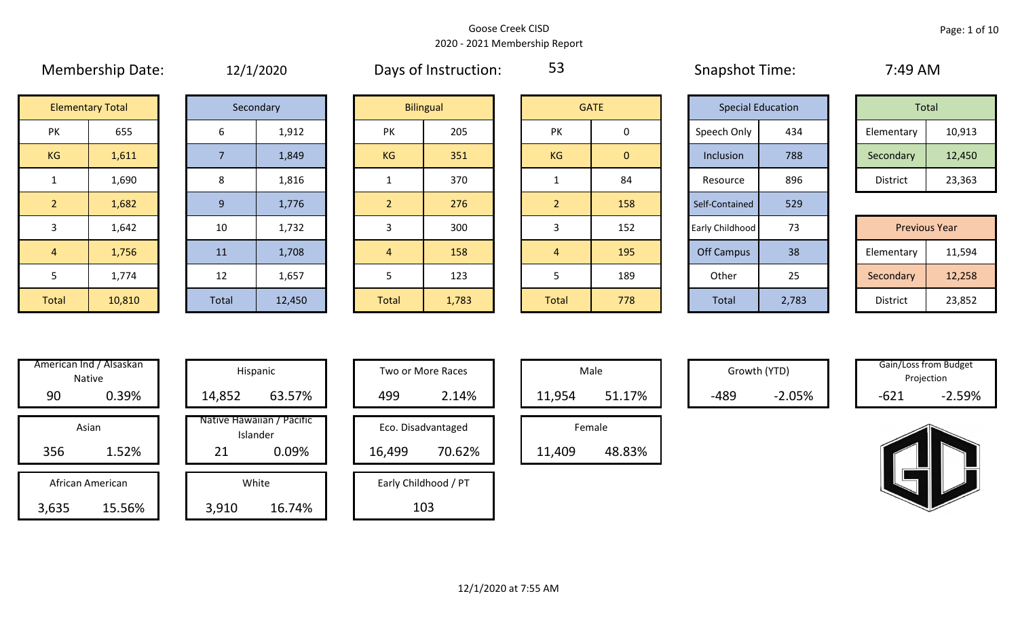|                | $1.1.0.1.00$ c. $1.00$ c. $1.00$ c. $1.00$ |       | $-1$ , $-1$ |                |                  |                |                | $5.00$ $\mu$ $5.00$ $\mu$ $5.00$ $\mu$ |       | .                    |        |
|----------------|--------------------------------------------|-------|-------------|----------------|------------------|----------------|----------------|----------------------------------------|-------|----------------------|--------|
|                | <b>Elementary Total</b>                    |       | Secondary   |                | <b>Bilingual</b> |                | <b>GATE</b>    | <b>Special Education</b>               |       | Total                |        |
| PK             | 655                                        | 6     | 1,912       | PK             | 205              | <b>PK</b>      | 0              | Speech Only                            | 434   | Elementary           | 10,913 |
| KG             | 1,611                                      |       | 1,849       | KG             | 351              | KG             | $\overline{0}$ | Inclusion                              | 788   | Secondary            | 12,450 |
|                | 1,690                                      | 8     | 1,816       |                | 370              |                | 84             | Resource                               | 896   | District             | 23,363 |
| $\overline{2}$ | 1,682                                      | 9     | 1,776       | 2              | 276              | 2 <sup>1</sup> | 158            | Self-Contained                         | 529   |                      |        |
| 3              | 1,642                                      | 10    | 1,732       |                | 300              |                | 152            | Early Childhood                        | 73    | <b>Previous Year</b> |        |
| 4              | 1,756                                      | 11    | 1,708       | $\overline{4}$ | 158              | $\overline{4}$ | 195            | <b>Off Campus</b>                      | 38    | Elementary           | 11,594 |
| 5              | 1,774                                      | 12    | 1,657       |                | 123              | 5              | 189            | Other                                  | 25    | Secondary            | 12,258 |
| Total          | 10,810                                     | Total | 12,450      | Total          | 1,783            | Total          | 778            | Total                                  | 2,783 | District             | 23,852 |

Membership Date:  $12/1/2020$  Days of Instruction: 53 58 Snapshot Time: 7:49 AM

53

|                    | <b>Elementary Total</b> |  | Secondary |    | <b>Bilingual</b> |           | <b>GATE</b> |             | <b>Special Education</b> | Total      |        |
|--------------------|-------------------------|--|-----------|----|------------------|-----------|-------------|-------------|--------------------------|------------|--------|
| שנ<br>$\mathbf{N}$ | 655                     |  | 1,912     | PK | 205              | PK        |             | Speech Only | 434                      | Elementary | 10,913 |
| G                  | 1,611                   |  | 1,849     | KG | 351              | <b>KG</b> | 0           | Inclusion   | 788                      | Secondary  | 12,450 |
|                    | 1,690                   |  | 1,816     |    | 370              |           | 84          | Resource    | 896                      | District   | 23,363 |

|             | 1,642  | 10    | 1,732  |              | 300   |              | 152 | Early Childhood | 73    | <b>Previous Year</b> |        |
|-------------|--------|-------|--------|--------------|-------|--------------|-----|-----------------|-------|----------------------|--------|
|             | 1,756  | 11    | 1,708  |              | 158   |              | 195 | Off Campus      | 38    | Elementary           | 11,594 |
|             | 1,774  | 12    | 1,657  |              | 123   |              | 189 | Other           | 25    | Secondary            | 12,258 |
| <b>otal</b> | 10,810 | Total | 12,450 | <b>Total</b> | 1,783 | <b>Total</b> | 778 | <b>Total</b>    | 2,783 | District             | 23,852 |

| American Ind / Alsaskan<br><b>Native</b> | Hispani                    |  |
|------------------------------------------|----------------------------|--|
| 0.39%<br>90                              | 14,852                     |  |
|                                          |                            |  |
| Asian                                    | Native Hawaiiai<br>Islande |  |
| 1.52%<br>356                             | 21                         |  |
|                                          |                            |  |
| African American                         | White                      |  |
| 15.56%<br>3,635                          | 3,910                      |  |

|      | merican Ind / Alsaskan<br>Native |        | Hispanic                              |        | Two or More Races    |        | Male   |      | Growth (YTD) |        | Gain/Loss from Budget<br>Projection |
|------|----------------------------------|--------|---------------------------------------|--------|----------------------|--------|--------|------|--------------|--------|-------------------------------------|
| 90   | 0.39%                            | 14,852 | 63.57%                                | 499    | 2.14%                | 11,954 | 51.17% | -489 | $-2.05%$     | $-621$ | $-2.59%$                            |
|      | Asian                            |        | Native Hawaiian / Pacific<br>Islander |        | Eco. Disadvantaged   |        | Female |      |              |        |                                     |
| 356  | 1.52%                            | 21     | 0.09%                                 | 16,499 | 70.62%               | 11,409 | 48.83% |      |              |        |                                     |
|      | African American                 |        | White                                 |        | Early Childhood / PT |        |        |      |              |        |                                     |
| ,635 | 15.56%                           | 3,910  | 16.74%                                |        | 103                  |        |        |      |              |        |                                     |

| Hispanic                                | Two or More Races                      | Male                  |
|-----------------------------------------|----------------------------------------|-----------------------|
| 63.57%                                  | 499<br>2.14%                           | 11,954                |
| lawaiian / Pacific<br>Islander<br>0.09% | Eco. Disadvantaged<br>70.62%<br>16,499 | Female<br>11,409<br>ı |
| White<br>16.74%                         | Early Childhood / PT<br>103            |                       |

|        | Male   |  |  |  |  |  |  |  |  |  |
|--------|--------|--|--|--|--|--|--|--|--|--|
| 11,954 | 51.17% |  |  |  |  |  |  |  |  |  |
| Female |        |  |  |  |  |  |  |  |  |  |
| 11,409 | 48.83% |  |  |  |  |  |  |  |  |  |

Growth (YTD) Gain/Loss from Budget Projection

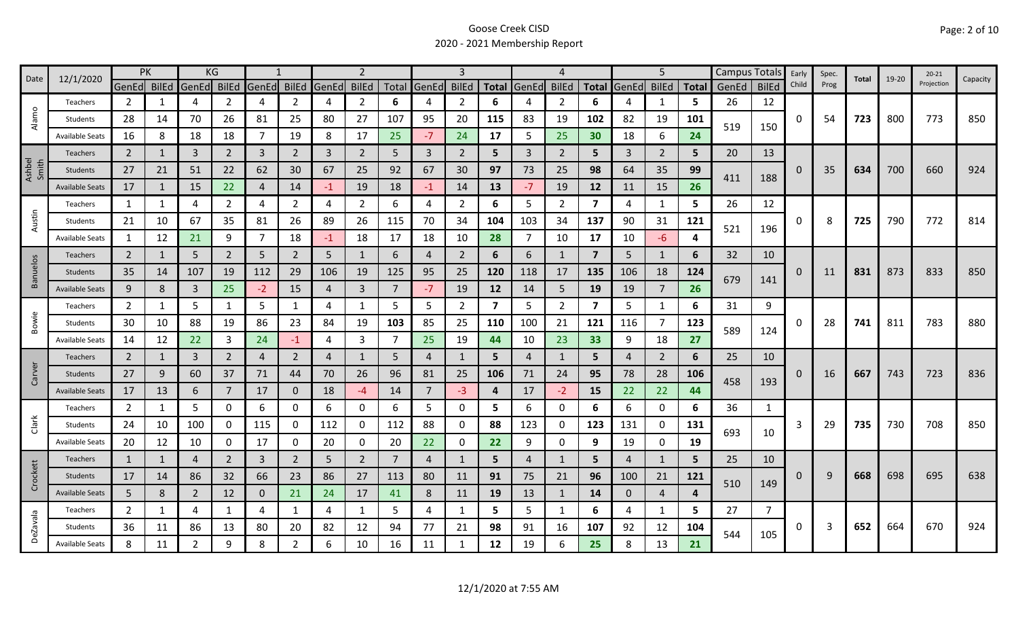| 12/1/2020<br>Date |                        |                | PK           |             | KG             | -1             |                |       | $\overline{2}$ |       |                | $\mathbf{3}$   |                         |                | Δ              |                |              | 5              |                         | <b>Campus Totals</b> |              | Early        | Spec. |       |       | $20 - 21$  |          |
|-------------------|------------------------|----------------|--------------|-------------|----------------|----------------|----------------|-------|----------------|-------|----------------|----------------|-------------------------|----------------|----------------|----------------|--------------|----------------|-------------------------|----------------------|--------------|--------------|-------|-------|-------|------------|----------|
|                   |                        | GenEd BilEd    |              | GenEd BilEd |                | GenEd          | <b>BilEd</b>   | GenEd | <b>BilEd</b>   | Total | GenEd          | <b>BilEd</b>   | <b>Total</b>            | GenEd          | <b>BilEd</b>   |                | Total GenEd  | <b>BilEd</b>   | <b>Total</b>            | GenEd                | <b>BilEd</b> | Child        | Prog  | Total | 19-20 | Projection | Capacity |
|                   | Teachers               | $\overline{2}$ | 1            | 4           | 2              | $\overline{4}$ | $\overline{2}$ | 4     | $\overline{2}$ | 6     | 4              | 2              | 6                       | 4              | $\overline{2}$ | 6              | 4            | 1              | 5                       | 26                   | 12           |              |       |       |       |            |          |
| Alamo             | Students               | 28             | 14           | 70          | 26             | 81             | 25             | 80    | 27             | 107   | 95             | 20             | 115                     | 83             | 19             | 102            | 82           | 19             | 101                     |                      |              | <sup>0</sup> | 54    | 723   | 800   | 773        | 850      |
|                   | <b>Available Seats</b> | 16             | 8            | 18          | 18             | 7              | 19             | 8     | 17             | 25    | $-7$           | 24             | 17                      | 5              | 25             | 30             | 18           | 6              | 24                      | 519                  | 150          |              |       |       |       |            |          |
|                   | <b>Teachers</b>        | 2              |              | 3           | $\overline{2}$ | 3              | $\overline{2}$ | 3     | $\overline{2}$ | 5     | 3              | $\overline{2}$ | 5                       | 3              | 2              | 5              | 3            | $\overline{2}$ | 5                       | 20                   | 13           |              |       |       |       |            |          |
| Ashbel<br>Smith   | Students               | 27             | 21           | 51          | 22             | 62             | 30             | 67    | 25             | 92    | 67             | 30             | 97                      | 73             | 25             | 98             | 64           | 35             | 99                      |                      |              | 0            | 35    | 634   | 700   | 660        | 924      |
|                   | <b>Available Seats</b> | 17             | 1            | 15          | 22             | $\overline{4}$ | 14             | $-1$  | 19             | 18    | $-1$           | 14             | 13                      | $-7$           | 19             | 12             | 11           | 15             | 26                      | 411                  | 188          |              |       |       |       |            |          |
|                   | Teachers               | 1              | 1            | 4           | $\overline{2}$ | 4              | $\overline{2}$ | 4     | $\overline{2}$ | 6     | 4              | $\overline{2}$ | 6                       | 5              | $\overline{2}$ | $\overline{7}$ | 4            | $\mathbf{1}$   | 5                       | 26                   | 12           |              |       |       |       |            |          |
| Austin            | Students               | 21             | 10           | 67          | 35             | 81             | 26             | 89    | 26             | 115   | 70             | 34             | 104                     | 103            | 34             | 137            | 90           | 31             | 121                     |                      |              | 0            | 8     | 725   | 790   | 772        | 814      |
|                   | <b>Available Seats</b> | 1              | 12           | 21          | 9              | 7              | 18             | $-1$  | 18             | 17    | 18             | 10             | 28                      | $\overline{7}$ | 10             | 17             | 10           | $-6$           | 4                       | 521                  | 196          |              |       |       |       |            |          |
|                   | <b>Teachers</b>        | $\overline{2}$ | $\mathbf{1}$ | 5           | $\overline{2}$ | 5              | $\overline{2}$ | 5     | 1              | 6     | 4              | $\overline{2}$ | 6                       | 6              | -1             | $\overline{7}$ | 5            | 1              | 6                       | 32                   | 10           |              |       |       |       |            |          |
| <b>Banuelos</b>   | Students               | 35             | 14           | 107         | 19             | 112            | 29             | 106   | 19             | 125   | 95             | 25             | 120                     | 118            | 17             | 135            | 106          | 18             | 124                     |                      |              | 0            | 11    | 831   | 873   | 833        | 850      |
|                   | <b>Available Seats</b> | 9              | 8            | 3           | 25             | $-2$           | 15             | 4     | $\overline{3}$ |       | $-7$           | 19             | 12                      | 14             | 5              | 19             | 19           | $\overline{7}$ | 679<br>26               | 141                  |              |              |       |       |       |            |          |
|                   | Teachers               | $\overline{2}$ | 1            | 5           | 1              | 5              | $\mathbf{1}$   | 4     | 1              | 5     | 5              | $\overline{2}$ | $\overline{\mathbf{z}}$ | 5              | $\overline{2}$ | $\overline{7}$ | 5            | 1              | 6                       | 31                   | 9            |              |       |       |       |            |          |
| Bowie             | Students               | 30             | 10           | 88          | 19             | 86             | 23             | 84    | 19             | 103   | 85             | 25             | 110                     | 100            | 21             | 121            | 116          | $\overline{7}$ | 123                     |                      |              |              | 28    | 741   | 811   | 783        | 880      |
|                   | <b>Available Seats</b> | 14             | 12           | 22          | 3              | 24             | $-1$           | 4     | 3              | 7     | 25             | 19             | 44                      | 10             | 23             | 33             | 9            | 18             | 27                      | 589                  | 124          |              |       |       |       |            |          |
|                   | Teachers               | $\overline{2}$ | $\mathbf{1}$ | 3           | $\overline{2}$ | 4              | $\overline{2}$ | 4     | 1              | 5     | 4              |                | 5                       | 4              | $\mathbf{1}$   | 5              | 4            | $\overline{2}$ | 6                       | 25                   | 10           |              |       |       |       |            |          |
| Carver            | Students               | 27             | 9            | 60          | 37             | 71             | 44             | 70    | 26             | 96    | 81             | 25             | 106                     | 71             | 24             | 95             | 78           | 28             | 106                     | 458                  | 193          | $\Omega$     | 16    | 667   | 743   | 723        | 836      |
|                   | <b>Available Seats</b> | 17             | 13           | 6           |                | 17             | $\mathbf 0$    | 18    | $-4$           | 14    | $\overline{7}$ | $-3$           | 4                       | 17             | $-2$           | 15             | 22           | 22             | 44                      |                      |              |              |       |       |       |            |          |
|                   | Teachers               | $\overline{2}$ | 1            | 5           | 0              | 6              | 0              | 6     | 0              | 6     | 5              | 0              | 5                       | 6              | 0              | 6              | 6            | $\mathbf 0$    | 6                       | 36                   | $\mathbf{1}$ |              |       |       |       |            |          |
| Clark             | Students               | 24             | 10           | 100         | 0              | 115            | 0              | 112   | 0              | 112   | 88             | 0              | 88                      | 123            | 0              | 123            | 131          | 0              | 131                     | 693                  | 10           | 3            | 29    | 735   | 730   | 708        | 850      |
|                   | <b>Available Seats</b> | 20             | 12           | 10          | 0              | 17             | 0              | 20    | $\mathbf 0$    | 20    | 22             | 0              | 22                      | 9              | 0              | 9              | 19           | $\mathbf 0$    | 19                      |                      |              |              |       |       |       |            |          |
|                   | <b>Teachers</b>        | 1              | 1            | 4           | 2              | 3              | $\overline{2}$ | 5     | $\overline{2}$ | 7     | $\overline{4}$ |                | 5                       | $\overline{4}$ | $\mathbf{1}$   | 5              | 4            | $\mathbf{1}$   | 5.                      | 25                   | 10           |              |       |       |       |            |          |
| Crockett          | Students               | 17             | 14           | 86          | 32             | 66             | 23             | 86    | 27             | 113   | 80             | 11             | 91                      | 75             | 21             | 96             | 100          | 21             | 121                     | 510                  | 149          | 0            | 9     | 668   | 698   | 695        | 638      |
|                   | <b>Available Seats</b> | 5              | 8            | 2           | 12             | $\mathbf{0}$   | 21             | 24    | 17             | 41    | 8              | 11             | 19                      | 13             | $\mathbf{1}$   | 14             | $\mathbf{0}$ | $\overline{4}$ | $\overline{\mathbf{a}}$ |                      |              |              |       |       |       |            |          |
|                   | Teachers               | $\overline{2}$ | 1            | 4           | $\mathbf{1}$   | 4              | $\mathbf{1}$   | 4     | $\mathbf{1}$   | 5     | 4              | 1              | 5                       | 5              | -1             | 6              | 4            | 1              | 5                       | 27                   | 7            |              |       |       |       |            |          |
| <b>DeZavala</b>   | Students               | 36             | 11           | 86          | 13             | 80             | 20             | 82    | 12             | 94    | 77             | 21             | 98                      | 91             | 16             | 107            | 92           | 12             | 104                     | 544                  | 105          | 0            | 3     | 652   | 664   | 670        | 924      |
|                   | <b>Available Seats</b> | 8              | 11           | 2           | 9              | 8              | $\overline{2}$ | 6     | 10             | 16    | 11             |                | 12                      | 19             | 6              | 25             |              | 13             | 21                      |                      |              |              |       |       |       |            |          |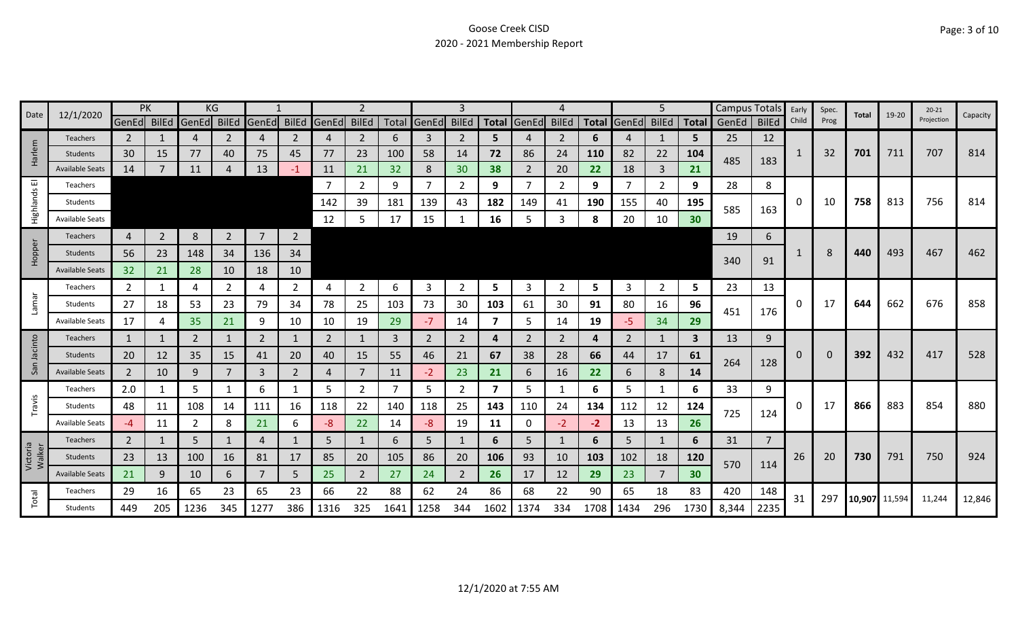| 12/1/2020<br>Date  | PK                     |                |                | KG             |                |                |                |             |                |      | 3           |                |                         |                |              |      | 5                 |                | Campus Totals |             | Early          | Spec. | Total | 19-20  | $20 - 21$ | Capacity   |        |
|--------------------|------------------------|----------------|----------------|----------------|----------------|----------------|----------------|-------------|----------------|------|-------------|----------------|-------------------------|----------------|--------------|------|-------------------|----------------|---------------|-------------|----------------|-------|-------|--------|-----------|------------|--------|
|                    |                        | GenEd BilEd    |                | GenEd          | BilEd          | GenEd          | <b>BilEd</b>   | GenEd BilEd |                |      | Total GenEd | <b>BilEd</b>   |                         | Total GenEd    | <b>BilEd</b> |      | Total GenEd BilEd |                |               | Total GenEd | <b>BilEd</b>   | Child | Prog  |        |           | Projection |        |
|                    | <b>Teachers</b>        | $\mathbf{2}$   |                | 4              | 2              | 4              | 2              | 4           | $\overline{2}$ | 6    | 3           | 2              | 5.                      |                | 2            | 6    | 4                 |                | 5             | 25          | 12             |       |       |        |           |            |        |
| Harlem             | Students               | 30             | 15             | 77             | 40             | 75             | 45             | 77          | 23             | 100  | 58          | 14             | 72                      | 86             | 24           | 110  | 82                | 22             | 104           | 485         | 183            | 1     | 32    | 701    | 711       | 707        | 814    |
|                    | <b>Available Seats</b> | 14             |                | 11             |                | 13             | $-1$           | 11          | 21             | 32   | 8           | 30             | 38                      | $\overline{2}$ | 20           | 22.  | 18                | 3              | 21            |             |                |       |       |        |           |            |        |
| ш                  | Teachers               |                |                |                |                |                |                | -7          | $\overline{2}$ | 9    | 7           | 2              | 9                       |                | 2            | 9    | 7                 | $\overline{2}$ | 9             | 28          | 8              |       |       |        |           |            |        |
| Highlands          | Students               |                |                |                |                |                |                | 142         | 39             | 181  | 139         | 43             | 182                     | 149            | 41           | 190  | 155               | 40             | 195           | 585         | 163            | 0     | 10    | 758    | 813       | 756        | 814    |
|                    | <b>Available Seats</b> |                |                |                |                |                |                | 12          | 5              | 17   | 15          |                | 16                      | 5              | 3            | 8    | 20                | 10             | 30            |             |                |       |       |        |           |            |        |
|                    | Teachers               | 4              | $\overline{2}$ | 8              | $\overline{2}$ | $\overline{7}$ | $\overline{2}$ |             |                |      |             |                |                         |                |              |      |                   |                |               | 19          | 6              |       |       |        |           |            |        |
| Hopper             | Students               | 56             | 23             | 148            | 34             | 136            | 34             |             |                |      |             |                |                         |                |              |      |                   |                |               |             |                |       | 8     | 440    | 493       | 467        | 462    |
|                    | <b>Available Seats</b> | 32             | 21             | 28             | 10             | 18             | 10             |             |                |      |             |                |                         |                |              |      |                   |                |               | 340         | 91             |       |       |        |           |            |        |
|                    | Teachers               | 2              | 1              | 4              | 2              | 4              | $\overline{2}$ | 4           | $\overline{2}$ | 6    | 3           | 2              | 5                       | 3              | 2            | 5    | 3                 | $\overline{2}$ | 5             | 23          | 13             |       |       |        |           |            |        |
| <b>Lamar</b>       | Students               | 27             | 18             | 53             | 23             | 79             | 34             | 78          | 25             | 103  | 73          | 30             | 103                     | 61             | 30           | 91   | 80                | 16             | 96            |             |                | 0     | 17    | 644    | 662       | 676        | 858    |
|                    | <b>Available Seats</b> | 17             | 4              | 35             | 21             | 9              | 10             | 10          | 19             | 29   | $-7$        | 14             | 7                       | 5              | 14           | 19   | -5                | 34             | 29            | 451         | 176            |       |       |        |           |            |        |
|                    | <b>Teachers</b>        | 1              | 1              | 2              | 1              | 2              | 1              | 2           | $\mathbf{1}$   | 3    | 2           | $\overline{2}$ | 4                       | 2              | 2            | 4    | 2                 | 1              | 3             | 13          | 9              |       |       |        |           |            |        |
| Jacinto            | Students               | 20             | 12             | 35             | 15             | 41             | 20             | 40          | 15             | 55   | 46          | 21             | 67                      | 38             | 28           | 66   | 44                | 17             | 61            |             |                | 0     | 0     | 392    | 432       | 417        | 528    |
| San                | <b>Available Seats</b> | $\overline{2}$ | 10             | 9              | 7              | 3              | $\overline{2}$ | 4           | $\overline{7}$ | 11   | $-2$        | 23             | 21                      | 6              | 16           | 22   | 6                 | 8              | 14            | 264         | 128            |       |       |        |           |            |        |
|                    | Teachers               | 2.0            | 1              | 5              |                | 6              | 1              | 5           | $\overline{2}$ | 7    | 5           | 2              | $\overline{\mathbf{z}}$ | 5              |              | 6    | 5                 | 1              | 6             | 33          | 9              |       |       |        |           |            |        |
| Travis             | Students               | 48             | 11             | 108            | 14             | 111            | 16             | 118         | 22             | 140  | 118         | 25             | 143                     | 110            | 24           | 134  | 112               | 12             | 124           |             |                | 0     | 17    | 866    | 883       | 854        | 880    |
|                    | <b>Available Seats</b> | -4             | 11             | $\overline{2}$ | 8              | 21             | 6              | -8          | 22             | 14   | -8          | 19             | 11                      | 0              | $-2$         | $-2$ | 13                | 13             | 26            | 725         | 124            |       |       |        |           |            |        |
|                    | Teachers               | $\overline{2}$ | 1              | 5              |                | 4              |                | 5           | $\mathbf{1}$   | 6    | 5           |                | 6                       | 5.             | 1            | 6    | 5                 | $\mathbf{1}$   | 6             | 31          | $\overline{7}$ |       |       |        |           |            |        |
| Victoria<br>Walker | Students               | 23             | 13             | 100            | 16             | 81             | 17             | 85          | 20             | 105  | 86          | 20             | 106                     | 93             | 10           | 103  | 102               | 18             | 120           |             |                | 26    | 20    | 730    | 791       | 750        | 924    |
|                    | <b>Available Seats</b> | 21             | 9              | 10             | 6.             |                | 5              | 25          | $\overline{2}$ | 27   | 24          | $\overline{2}$ | 26                      | 17             | 12           | 29   | 23                | 7              | 30            | 570         | 114            |       |       |        |           |            |        |
|                    | Teachers               | 29             | 16             | 65             | 23             | 65             | 23             | 66          | 22             | 88   | 62          | 24             | 86                      | 68             | 22           | 90   | 65                | 18             | 83            | 420         | 148            |       |       |        |           |            |        |
| Total              | Students               | 449            | 205            | 1236           | 345            | 1277           | 386            | 1316        | 325            | 1641 | 1258        | 344            | 1602                    | 1374           | 334          | 1708 | 1434              | 296            | 1730          | 8,344       | 2235           | 31    | 297   | 10,907 | 11,594    | 11,244     | 12,846 |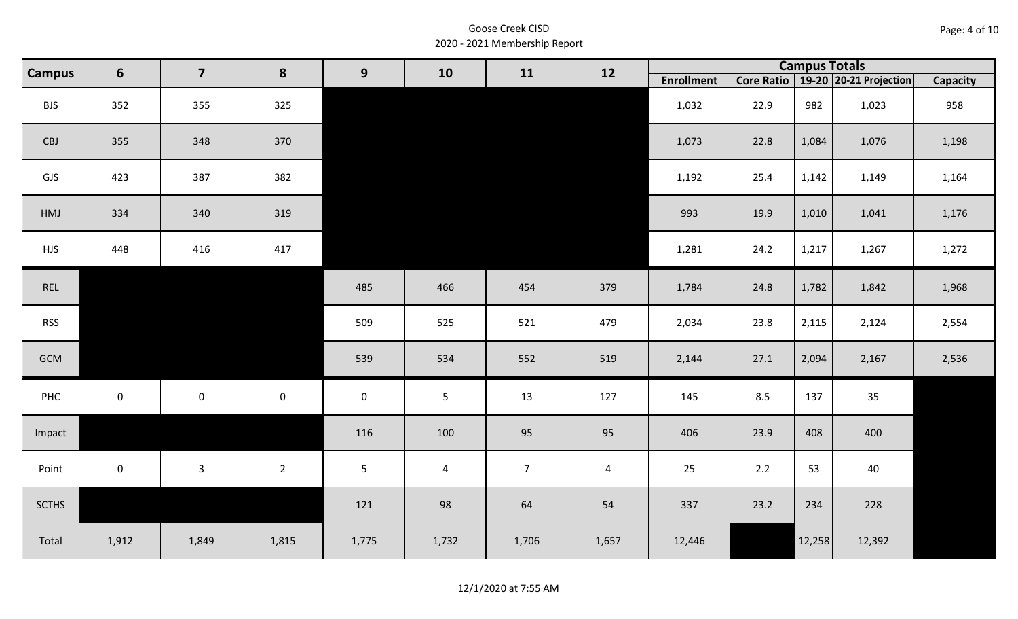| Page: 4 of 10 |  |  |  |
|---------------|--|--|--|
|---------------|--|--|--|

| <b>Campus</b> | $6\phantom{1}$ | $\overline{\mathbf{z}}$ | 8           | 9              | 10             | 11             | 12             |                   |      |        | <b>Campus Totals</b>                  |                 |
|---------------|----------------|-------------------------|-------------|----------------|----------------|----------------|----------------|-------------------|------|--------|---------------------------------------|-----------------|
|               |                |                         |             |                |                |                |                | <b>Enrollment</b> |      |        | Core Ratio   19-20   20-21 Projection | <b>Capacity</b> |
| <b>BJS</b>    | 352            | 355                     | 325         |                |                |                |                | 1,032             | 22.9 | 982    | 1,023                                 | 958             |
| CBJ           | 355            | 348                     | 370         |                |                |                |                | 1,073             | 22.8 | 1,084  | 1,076                                 | 1,198           |
| GJS           | 423            | 387                     | 382         |                |                |                |                | 1,192             | 25.4 | 1,142  | 1,149                                 | 1,164           |
| HMJ           | 334            | 340                     | 319         |                |                |                |                | 993               | 19.9 | 1,010  | 1,041                                 | 1,176           |
| <b>HJS</b>    | 448            | 416                     | 417         |                |                |                |                | 1,281             | 24.2 | 1,217  | 1,267                                 | 1,272           |
| REL           |                |                         |             | 485            | 466            | 454            | 379            | 1,784             | 24.8 | 1,782  | 1,842                                 | 1,968           |
| <b>RSS</b>    |                |                         |             | 509            | 525            | 521            | 479            | 2,034             | 23.8 | 2,115  | 2,124                                 | 2,554           |
| GCM           |                |                         |             | 539            | 534            | 552            | 519            | 2,144             | 27.1 | 2,094  | 2,167                                 | 2,536           |
| PHC           | $\mathbf 0$    | $\mathsf{O}\xspace$     | $\mathbf 0$ | $\mathbf 0$    | $5\phantom{.}$ | 13             | 127            | 145               | 8.5  | 137    | 35                                    |                 |
| Impact        |                |                         |             | 116            | 100            | 95             | 95             | 406               | 23.9 | 408    | 400                                   |                 |
| Point         | $\overline{0}$ | $\mathbf{3}$            | $2^{\circ}$ | $5\phantom{.}$ | $\overline{4}$ | $\overline{7}$ | $\overline{a}$ | 25                | 2.2  | 53     | 40                                    |                 |
| <b>SCTHS</b>  |                |                         |             | 121            | 98             | 64             | 54             | 337               | 23.2 | 234    | 228                                   |                 |
| Total         | 1,912          | 1,849                   | 1,815       | 1,775          | 1,732          | 1,706          | 1,657          | 12,446            |      | 12,258 | 12,392                                |                 |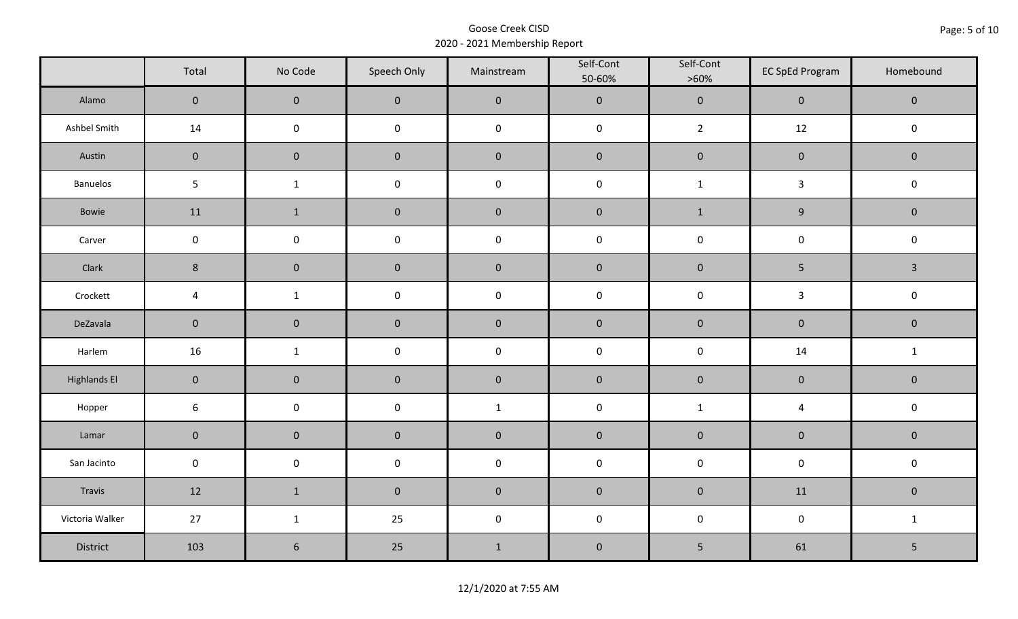|                     | Total               | No Code             | Speech Only         | Mainstream   | Self-Cont<br>50-60% | Self-Cont<br>$>60\%$ | <b>EC SpEd Program</b> | Homebound    |  |
|---------------------|---------------------|---------------------|---------------------|--------------|---------------------|----------------------|------------------------|--------------|--|
| Alamo               | $\overline{0}$      | $\mathbf 0$         | $\mathbf 0$         | $\pmb{0}$    | $\pmb{0}$           | $\pmb{0}$            | $\mathbf 0$            | $\mathbf 0$  |  |
| Ashbel Smith        | 14                  | $\mathbf 0$         | $\mathsf{O}\xspace$ | $\pmb{0}$    | $\pmb{0}$           | $\overline{2}$       | 12                     | $\mathbf 0$  |  |
| Austin              | $\mathbf 0$         | $\mathbf 0$         | $\mathbf 0$         | $\pmb{0}$    | $\pmb{0}$           | $\pmb{0}$            | $\pmb{0}$              | $\mathbf 0$  |  |
| Banuelos            | $5\phantom{.}$      | $\mathbf{1}$        | $\pmb{0}$           | $\pmb{0}$    | $\mathsf 0$         | $\mathbf{1}$         | $\mathbf{3}$           | $\pmb{0}$    |  |
| Bowie               | 11                  | $\mathbf{1}$        | $\mathbf 0$         | $\pmb{0}$    | $\pmb{0}$           | $\mathbf{1}$         | $\boldsymbol{9}$       | $\mathbf 0$  |  |
| Carver              | $\mathbf 0$         | $\mathsf{O}\xspace$ | $\pmb{0}$           | $\pmb{0}$    | $\pmb{0}$           | $\pmb{0}$            | $\pmb{0}$              | $\pmb{0}$    |  |
| Clark               | $8\phantom{1}$      | $\mathbf 0$         | $\pmb{0}$           | $\pmb{0}$    | $\pmb{0}$           | $\pmb{0}$            | 5                      | $\mathbf{3}$ |  |
| Crockett            | $\overline{4}$      | $\mathbf{1}$        | $\pmb{0}$           | $\pmb{0}$    | $\pmb{0}$           | $\pmb{0}$            | $\mathbf{3}$           | $\pmb{0}$    |  |
| DeZavala            | $\mathbf 0$         | $\mathbf 0$         | $\mathbf 0$         | $\pmb{0}$    | $\pmb{0}$           | $\pmb{0}$            | $\pmb{0}$              | $\mathbf 0$  |  |
| Harlem              | 16                  | $\mathbf{1}$        | $\pmb{0}$           | $\pmb{0}$    | $\pmb{0}$           | $\pmb{0}$            | 14                     | $\mathbf{1}$ |  |
| <b>Highlands El</b> | $\mathbf 0$         | $\mathbf 0$         | $\mathbf 0$         | $\pmb{0}$    | $\pmb{0}$           | $\pmb{0}$            | $\pmb{0}$              | $\mathbf 0$  |  |
| Hopper              | $\sqrt{6}$          | $\pmb{0}$           | $\pmb{0}$           | $\mathbf{1}$ | $\pmb{0}$           | $\mathbf{1}$         | $\overline{4}$         | $\pmb{0}$    |  |
| Lamar               | $\mathsf{O}\xspace$ | $\mathbf 0$         | $\pmb{0}$           | $\pmb{0}$    | $\pmb{0}$           | $\pmb{0}$            | ${\bf 0}$              | $\pmb{0}$    |  |
| San Jacinto         | $\mathbf 0$         | $\mathbf 0$         | $\mathsf{O}\xspace$ | $\pmb{0}$    | $\pmb{0}$           | $\pmb{0}$            | $\pmb{0}$              | $\pmb{0}$    |  |
| Travis              | 12                  | $\mathbf{1}$        | $\mathbf 0$         | $\pmb{0}$    | $\pmb{0}$           | $\pmb{0}$            | 11                     | $\mathbf 0$  |  |
| Victoria Walker     | 27                  | $\mathbf{1}$        | 25                  | $\pmb{0}$    | $\mathsf 0$         | $\pmb{0}$            | $\pmb{0}$              | $\mathbf{1}$ |  |
| District            | 103                 | $\sqrt{6}$          | 25                  | $\mathbf 1$  | $\pmb{0}$           | $\mathsf S$          | 61                     | 5            |  |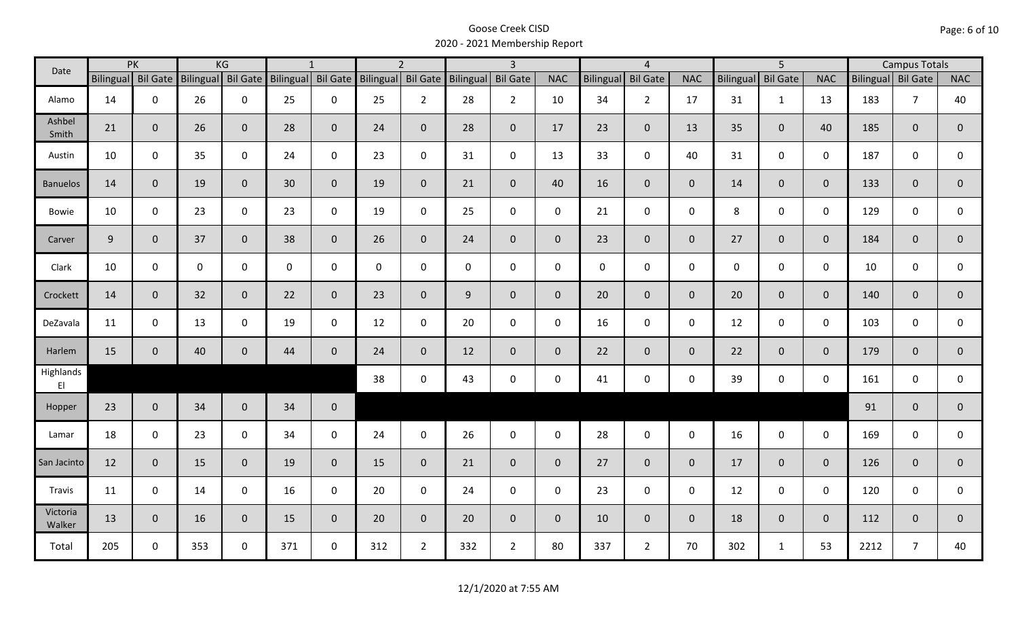| Date                                |     | PK                 |           | KG             |     | $\mathbf{1}$       |                    | $\overline{2}$ |                     | $\overline{3}$  |                |             | $\overline{4}$      |                |                  | $\overline{5}$  |                |                    | <b>Campus Totals</b> |                |
|-------------------------------------|-----|--------------------|-----------|----------------|-----|--------------------|--------------------|----------------|---------------------|-----------------|----------------|-------------|---------------------|----------------|------------------|-----------------|----------------|--------------------|----------------------|----------------|
|                                     |     | Bilingual Bil Gate | Bilingual | Bil Gate       |     | Bilingual Bil Gate | Bilingual Bil Gate |                | Bilingual           | <b>Bil Gate</b> | <b>NAC</b>     | Bilingual   | <b>Bil Gate</b>     | <b>NAC</b>     | <b>Bilingual</b> | <b>Bil Gate</b> | <b>NAC</b>     | Bilingual Bil Gate |                      | <b>NAC</b>     |
| Alamo                               | 14  | $\mathbf 0$        | 26        | $\mathbf 0$    | 25  | $\mathsf{O}$       | 25                 | $\overline{2}$ | 28                  | $2^{\circ}$     | 10             | 34          | $\overline{2}$      | 17             | 31               | $\mathbf{1}$    | 13             | 183                | $\overline{7}$       | 40             |
| Ashbel<br>Smith                     | 21  | $\mathbf{0}$       | 26        | $\overline{0}$ | 28  | $\mathbf{0}$       | 24                 | $\overline{0}$ | 28                  | $\overline{0}$  | 17             | 23          | $\mathbf 0$         | 13             | 35               | $\mathbf{0}$    | 40             | 185                | $\overline{0}$       | 0              |
| Austin                              | 10  | $\mathbf 0$        | 35        | $\mathbf 0$    | 24  | $\mathsf{O}$       | 23                 | $\mathbf 0$    | 31                  | $\mathsf{O}$    | 13             | 33          | $\mathsf{O}\xspace$ | 40             | 31               | $\overline{0}$  | $\mathbf 0$    | 187                | $\mathbf 0$          | 0              |
| <b>Banuelos</b>                     | 14  | $\overline{0}$     | 19        | $\mathbf{0}$   | 30  | $\mathbf{0}$       | 19                 | $\overline{0}$ | 21                  | $\overline{0}$  | 40             | 16          | $\overline{0}$      | $\overline{0}$ | 14               | $\overline{0}$  | $\overline{0}$ | 133                | $\overline{0}$       | $\overline{0}$ |
| Bowie                               | 10  | $\mathbf 0$        | 23        | $\mathsf{O}$   | 23  | $\mathbf 0$        | 19                 | $\mathbf 0$    | 25                  | $\mathbf 0$     | $\mathbf 0$    | 21          | $\mathbf 0$         | $\mathsf{O}$   | 8                | $\mathbf 0$     | $\mathbf 0$    | 129                | $\mathbf 0$          | 0              |
| Carver                              | 9   | $\mathbf{0}$       | 37        | $\mathbf 0$    | 38  | $\mathbf{0}$       | 26                 | $\overline{0}$ | 24                  | $\overline{0}$  | $\overline{0}$ | 23          | $\overline{0}$      | $\overline{0}$ | 27               | $\overline{0}$  | $\mathbf{0}$   | 184                | $\overline{0}$       | $\overline{0}$ |
| Clark                               | 10  | $\mathbf 0$        | 0         | $\mathbf 0$    | 0   | $\mathbf 0$        | $\mathbf 0$        | $\mathbf 0$    | $\mathsf{O}\xspace$ | $\mathsf{O}$    | $\mathbf 0$    | $\mathbf 0$ | $\mathsf{O}$        | $\mathbf 0$    | $\mathbf 0$      | $\mathbf 0$     | $\mathbf 0$    | 10                 | $\mathbf 0$          | 0              |
| Crockett                            | 14  | $\mathbf{0}$       | 32        | $\mathbf 0$    | 22  | $\mathbf 0$        | 23                 | $\overline{0}$ | 9                   | $\overline{0}$  | $\overline{0}$ | 20          | $\overline{0}$      | $\overline{0}$ | 20               | $\overline{0}$  | $\mathbf{0}$   | 140                | $\overline{0}$       | $\overline{0}$ |
| DeZavala                            | 11  | $\mathbf 0$        | 13        | $\mathsf{O}$   | 19  | $\mathbf 0$        | 12                 | $\mathbf{0}$   | 20                  | $\mathsf{O}$    | $\mathbf 0$    | 16          | $\mathbf 0$         | $\mathbf 0$    | 12               | $\mathbf 0$     | $\mathbf 0$    | 103                | $\mathbf 0$          | $\mathbf 0$    |
| Harlem                              | 15  | $\mathbf{0}$       | 40        | $\mathbf 0$    | 44  | $\mathbf{0}$       | 24                 | $\overline{0}$ | 12                  | $\overline{0}$  | $\overline{0}$ | 22          | $\overline{0}$      | $\overline{0}$ | 22               | $\overline{0}$  | $\overline{0}$ | 179                | $\mathbf{0}$         | $\mathbf{0}$   |
| Highlands<br>$\mathsf{E}\mathsf{I}$ |     |                    |           |                |     |                    | 38                 | $\mathbf 0$    | 43                  | $\mathsf{O}$    | $\mathbf 0$    | 41          | $\mathbf 0$         | $\mathsf{O}$   | 39               | $\mathbf 0$     | $\mathbf 0$    | 161                | $\mathbf 0$          | $\mathbf 0$    |
| Hopper                              | 23  | $\mathbf{0}$       | 34        | $\overline{0}$ | 34  | $\mathbf 0$        |                    |                |                     |                 |                |             |                     |                |                  |                 |                | 91                 | $\mathbf{0}$         | $\mathbf 0$    |
| Lamar                               | 18  | $\mathbf 0$        | 23        | $\mathbf 0$    | 34  | $\mathsf{O}$       | 24                 | $\mathbf 0$    | 26                  | $\mathbf 0$     | $\mathbf 0$    | 28          | $\mathbf 0$         | $\mathsf{O}$   | 16               | $\mathbf 0$     | $\mathbf 0$    | 169                | $\mathbf 0$          | $\mathbf 0$    |
| San Jacinto                         | 12  | $\mathbf{0}$       | 15        | $\mathbf{0}$   | 19  | $\mathbf{0}$       | 15                 | $\overline{0}$ | 21                  | $\overline{0}$  | $\mathbf{0}$   | 27          | $\mathbf 0$         | $\overline{0}$ | 17               | $\overline{0}$  | $\mathbf{0}$   | 126                | $\mathbf{0}$         | $\overline{0}$ |
| Travis                              | 11  | $\mathbf 0$        | 14        | $\mathbf 0$    | 16  | $\mathsf{O}$       | 20                 | $\mathbf 0$    | 24                  | $\mathbf 0$     | $\mathbf 0$    | 23          | $\mathbf 0$         | $\mathbf 0$    | 12               | $\mathbf 0$     | $\mathbf 0$    | 120                | $\mathbf 0$          | $\mathbf 0$    |
| Victoria<br>Walker                  | 13  | $\mathbf 0$        | 16        | $\mathbf{0}$   | 15  | $\mathbf{0}$       | 20                 | $\overline{0}$ | 20                  | $\overline{0}$  | $\mathbf 0$    | 10          | $\overline{0}$      | $\overline{0}$ | 18               | $\mathbf{0}$    | $\mathbf{0}$   | 112                | $\mathbf 0$          | $\mathbf 0$    |
| Total                               | 205 | $\Omega$           | 353       | $\mathbf 0$    | 371 | $\mathbf 0$        | 312                | $2^{\circ}$    | 332                 | $2^{\circ}$     | 80             | 337         | $2^{\circ}$         | 70             | 302              | $\mathbf{1}$    | 53             | 2212               | $\overline{7}$       | 40             |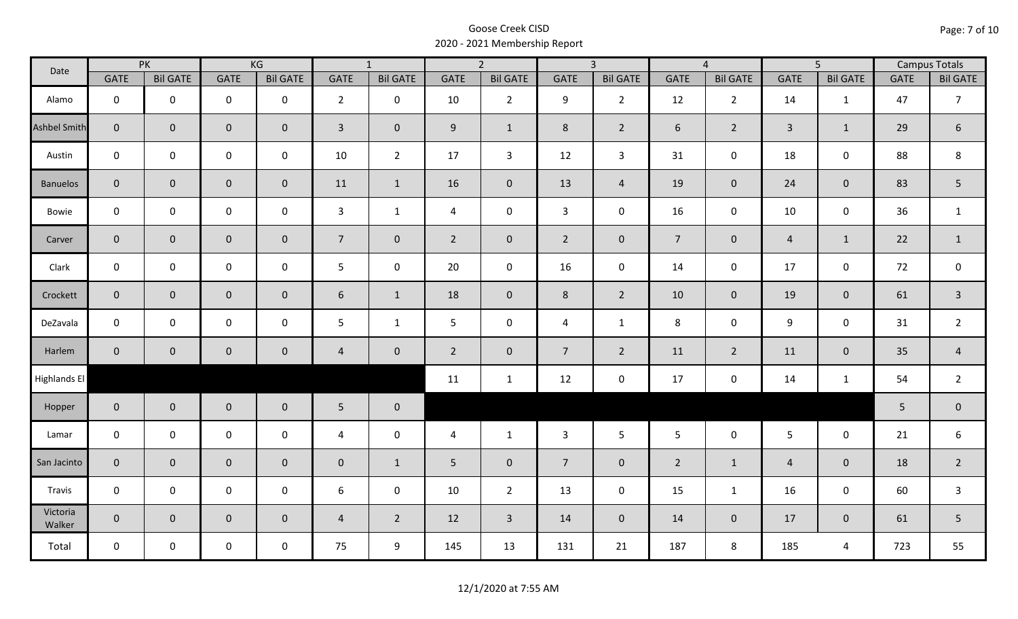| Date                |                | PK                  |                     | KG              |                | $\overline{1}$  |                | $\overline{2}$  |                | $\overline{3}$<br>$\overline{5}$<br>$\overline{4}$ |                | <b>Campus Totals</b> |                |                 |             |                 |
|---------------------|----------------|---------------------|---------------------|-----------------|----------------|-----------------|----------------|-----------------|----------------|----------------------------------------------------|----------------|----------------------|----------------|-----------------|-------------|-----------------|
|                     | <b>GATE</b>    | <b>Bil GATE</b>     | <b>GATE</b>         | <b>Bil GATE</b> | <b>GATE</b>    | <b>Bil GATE</b> | <b>GATE</b>    | <b>Bil GATE</b> | <b>GATE</b>    | <b>Bil GATE</b>                                    | <b>GATE</b>    | <b>Bil GATE</b>      | <b>GATE</b>    | <b>Bil GATE</b> | <b>GATE</b> | <b>Bil GATE</b> |
| Alamo               | $\mathbf 0$    | $\mathbf 0$         | $\mathbf 0$         | $\mathbf 0$     | $2^{\circ}$    | $\mathbf 0$     | 10             | $\overline{2}$  | 9              | $2^{\circ}$                                        | 12             | $\overline{2}$       | 14             | 1               | 47          | $\overline{7}$  |
| <b>Ashbel Smith</b> | $\mathbf{0}$   | $\mathbf{0}$        | $\mathbf 0$         | $\mathbf{0}$    | $\overline{3}$ | $\mathbf 0$     | 9              | $\mathbf{1}$    | 8              | $2^{\circ}$                                        | 6              | $2^{\circ}$          | $\overline{3}$ | $\mathbf{1}$    | 29          | $\sqrt{6}$      |
| Austin              | $\mathbf 0$    | $\mathbf 0$         | $\mathbf 0$         | $\mathbf 0$     | 10             | $\overline{2}$  | 17             | $\overline{3}$  | 12             | $\mathbf{3}$                                       | 31             | $\mathsf{O}$         | 18             | $\mathbf 0$     | 88          | 8               |
| <b>Banuelos</b>     | $\overline{0}$ | $\mathbf 0$         | $\mathbf 0$         | $\overline{0}$  | 11             | $\mathbf{1}$    | 16             | $\mathbf{0}$    | 13             | $\overline{4}$                                     | 19             | $\mathbf 0$          | 24             | $\mathbf 0$     | 83          | 5               |
| Bowie               | $\mathbf 0$    | $\mathbf 0$         | $\mathsf{O}\xspace$ | $\mathbf 0$     | $\mathbf{3}$   | $\mathbf{1}$    | $\overline{4}$ | $\mathbf 0$     | $\mathbf{3}$   | $\mathbf 0$                                        | 16             | $\mathsf{O}$         | 10             | $\mathbf 0$     | 36          | $\mathbf{1}$    |
| Carver              | $\overline{0}$ | $\mathbf{0}$        | $\mathbf 0$         | $\mathbf{0}$    | 7 <sup>7</sup> | $\overline{0}$  | $2^{\circ}$    | $\mathbf{0}$    | $2^{\circ}$    | $\overline{0}$                                     | $\overline{7}$ | $\mathbf 0$          | $\overline{4}$ | $\mathbf{1}$    | 22          | $\mathbf{1}$    |
| Clark               | $\mathbf 0$    | $\mathbf 0$         | $\mathbf 0$         | $\mathbf 0$     | 5              | $\mathbf 0$     | 20             | $\mathbf 0$     | 16             | $\mathbf 0$                                        | 14             | $\mathsf{O}$         | 17             | $\mathbf 0$     | 72          | $\mathsf 0$     |
| Crockett            | $\overline{0}$ | $\mathbf 0$         | $\mathsf{O}\xspace$ | $\mathbf{0}$    | $\sqrt{6}$     | $\mathbf{1}$    | 18             | $\mathbf 0$     | 8              | $2^{\circ}$                                        | 10             | $\overline{0}$       | 19             | $\mathbf 0$     | 61          | $\overline{3}$  |
| DeZavala            | $\mathbf 0$    | $\mathbf 0$         | $\mathsf{O}\xspace$ | $\mathbf 0$     | 5              | $\mathbf{1}$    | 5              | $\mathbf 0$     | $\overline{4}$ | $\mathbf{1}$                                       | 8              | $\mathbf 0$          | $\overline{9}$ | 0               | 31          | $\overline{2}$  |
| Harlem              | $\overline{0}$ | $\mathsf{O}\xspace$ | $\pmb{0}$           | $\mathbf 0$     | $\overline{4}$ | $\mathbf 0$     | $2^{\circ}$    | $\mathbf 0$     | $\overline{7}$ | $\overline{2}$                                     | 11             | $2^{\circ}$          | 11             | $\mathbf 0$     | 35          | $\overline{4}$  |
| Highlands El        |                |                     |                     |                 |                |                 | 11             | $\mathbf{1}$    | 12             | $\mathbf 0$                                        | 17             | 0                    | 14             | $\mathbf{1}$    | 54          | $\overline{2}$  |
| Hopper              | $\overline{0}$ | $\overline{0}$      | $\mathbf 0$         | $\overline{0}$  | $5\phantom{.}$ | $\bf 0$         |                |                 |                |                                                    |                |                      |                |                 | 5           | $\pmb{0}$       |
| Lamar               | $\mathbf 0$    | $\mathbf 0$         | $\mathsf{O}\xspace$ | $\mathbf 0$     | $\overline{4}$ | $\mathbf 0$     | $\overline{4}$ | $\mathbf{1}$    | $\mathbf{3}$   | 5                                                  | 5 <sup>5</sup> | $\mathsf{O}$         | 5 <sup>5</sup> | $\mathbf 0$     | 21          | 6               |
| San Jacinto         | $\mathbf{0}$   | $\mathbf{0}$        | $\mathbf 0$         | $\mathbf 0$     | $\pmb{0}$      | $\mathbf{1}$    | 5              | $\mathbf 0$     | $\overline{7}$ | $\mathbf 0$                                        | $\overline{2}$ | $\mathbf{1}$         | $\overline{4}$ | $\mathbf 0$     | 18          | $\overline{2}$  |
| Travis              | $\mathbf 0$    | $\mathbf 0$         | $\mathsf{O}\xspace$ | $\mathbf 0$     | 6              | $\mathbf 0$     | 10             | $\overline{2}$  | 13             | $\mathbf 0$                                        | 15             | $\mathbf{1}$         | 16             | $\mathbf 0$     | 60          | $\mathsf{3}$    |
| Victoria<br>Walker  | $\overline{0}$ | $\overline{0}$      | $\mathbf 0$         | $\overline{0}$  | $\overline{4}$ | $\overline{2}$  | 12             | $\overline{3}$  | 14             | $\overline{0}$                                     | 14             | $\overline{0}$       | 17             | $\overline{0}$  | 61          | 5               |
| Total               | $\mathbf 0$    | $\mathbf 0$         | $\mathsf{O}$        | $\mathbf 0$     | 75             | 9               | 145            | 13              | 131            | 21                                                 | 187            | 8                    | 185            | 4               | 723         | 55              |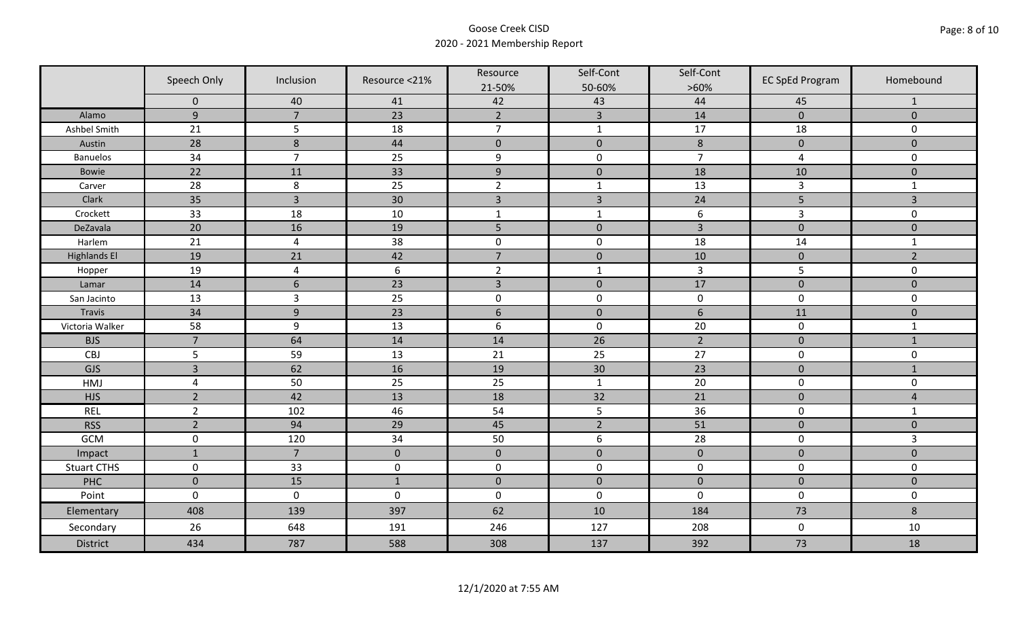|                     | Speech Only    | Inclusion        | Resource <21% | Resource<br>21-50% | Self-Cont<br>50-60% | Self-Cont<br>$>60\%$ | <b>EC SpEd Program</b> | Homebound      |
|---------------------|----------------|------------------|---------------|--------------------|---------------------|----------------------|------------------------|----------------|
|                     | $\mathbf 0$    | 40               | 41            | 42                 | 43                  | 44                   | 45                     | $\mathbf{1}$   |
| Alamo               | $\overline{9}$ | $\overline{7}$   | 23            | $\overline{2}$     | $\overline{3}$      | 14                   | $\mathbf{0}$           | $\mathbf{0}$   |
| Ashbel Smith        | 21             | 5                | 18            | $\overline{7}$     | $\mathbf 1$         | 17                   | 18                     | 0              |
| Austin              | 28             | $\boldsymbol{8}$ | 44            | $\mathbf 0$        | $\mathbf 0$         | $\,8\,$              | $\mathbf 0$            | $\overline{0}$ |
| <b>Banuelos</b>     | 34             | $\overline{7}$   | 25            | $\boldsymbol{9}$   | $\pmb{0}$           | $\overline{7}$       | $\overline{a}$         | 0              |
| Bowie               | 22             | 11               | 33            | $\boldsymbol{9}$   | $\pmb{0}$           | 18                   | 10                     | $\mathbf 0$    |
| Carver              | 28             | 8                | 25            | $\overline{2}$     | $\mathbf{1}$        | 13                   | $\overline{3}$         | $\mathbf{1}$   |
| Clark               | 35             | $\overline{3}$   | 30            | $\overline{3}$     | $\overline{3}$      | 24                   | 5                      | 3              |
| Crockett            | 33             | 18               | 10            | $\mathbf{1}$       | $\mathbf{1}$        | 6                    | $\overline{3}$         | 0              |
| DeZavala            | 20             | 16               | 19            | 5                  | $\pmb{0}$           | $\overline{3}$       | $\pmb{0}$              | $\mathbf 0$    |
| Harlem              | 21             | $\overline{4}$   | 38            | $\pmb{0}$          | $\pmb{0}$           | 18                   | 14                     | $\mathbf{1}$   |
| <b>Highlands El</b> | 19             | 21               | 42            | $\overline{7}$     | $\pmb{0}$           | 10                   | $\pmb{0}$              | $\overline{2}$ |
| Hopper              | 19             | $\overline{4}$   | 6             | $\overline{2}$     | $\mathbf 1$         | $\mathbf{3}$         | 5                      | 0              |
| Lamar               | 14             | $6\phantom{1}$   | 23            | $\overline{3}$     | $\mathbf{0}$        | 17                   | $\mathbf 0$            | $\overline{0}$ |
| San Jacinto         | 13             | $\overline{3}$   | 25            | $\boldsymbol{0}$   | $\pmb{0}$           | $\pmb{0}$            | $\pmb{0}$              | 0              |
| Travis              | 34             | 9                | 23            | $6\,$              | $\pmb{0}$           | $\boldsymbol{6}$     | 11                     | $\mathbf 0$    |
| Victoria Walker     | 58             | 9                | 13            | $\boldsymbol{6}$   | $\pmb{0}$           | 20                   | $\pmb{0}$              | $\mathbf{1}$   |
| <b>BJS</b>          | $\overline{7}$ | 64               | 14            | 14                 | 26                  | $\overline{2}$       | $\pmb{0}$              | $\mathbf{1}$   |
| CBJ                 | 5              | 59               | 13            | 21                 | 25                  | 27                   | $\pmb{0}$              | 0              |
| GJS                 | $\overline{3}$ | 62               | 16            | 19                 | 30                  | 23                   | $\pmb{0}$              | $\mathbf{1}$   |
| HMJ                 | $\overline{4}$ | 50               | 25            | 25                 | $\mathbf{1}$        | 20                   | $\mathbf 0$            | 0              |
| <b>HJS</b>          | $\overline{2}$ | 42               | 13            | 18                 | 32                  | 21                   | $\mathbf 0$            | $\overline{4}$ |
| <b>REL</b>          | $\overline{2}$ | 102              | 46            | 54                 | 5                   | 36                   | $\pmb{0}$              | $\mathbf{1}$   |
| <b>RSS</b>          | $\overline{2}$ | 94               | 29            | 45                 | $\overline{2}$      | 51                   | $\mathbf 0$            | $\mathbf{0}$   |
| GCM                 | $\mathsf 0$    | 120              | 34            | 50                 | $\boldsymbol{6}$    | 28                   | $\pmb{0}$              | $\overline{3}$ |
| Impact              | $\mathbf{1}$   | $\overline{7}$   | $\mathbf 0$   | $\mathbf 0$        | $\pmb{0}$           | $\pmb{0}$            | $\pmb{0}$              | $\mathbf 0$    |
| <b>Stuart CTHS</b>  | $\mathsf 0$    | 33               | $\pmb{0}$     | $\pmb{0}$          | $\pmb{0}$           | $\pmb{0}$            | $\pmb{0}$              | 0              |
| PHC                 | $\mathbf 0$    | 15               | $\mathbf{1}$  | $\mathbf 0$        | $\mathbf 0$         | $\mathbf 0$          | $\mathbf 0$            | $\mathbf 0$    |
| Point               | $\mathsf 0$    | $\pmb{0}$        | $\pmb{0}$     | $\pmb{0}$          | $\pmb{0}$           | $\mathbf 0$          | $\pmb{0}$              | 0              |
| Elementary          | 408            | 139              | 397           | 62                 | 10                  | 184                  | 73                     | $\bf 8$        |
| Secondary           | 26             | 648              | 191           | 246                | 127                 | 208                  | $\pmb{0}$              | 10             |
| <b>District</b>     | 434            | 787              | 588           | 308                | 137                 | 392                  | 73                     | 18             |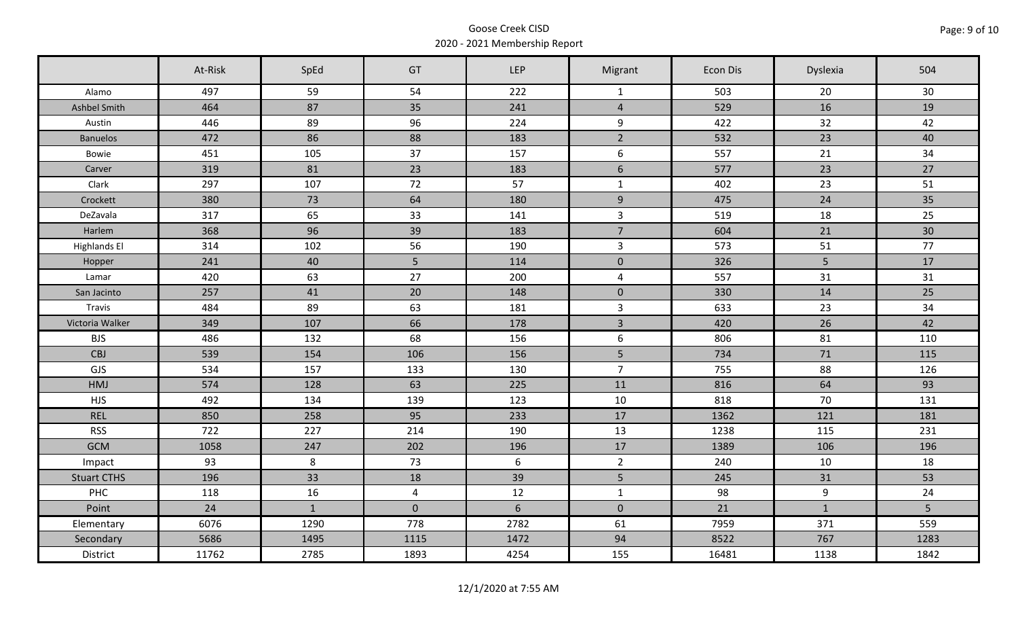|                     | At-Risk | SpEd         | GT             | LEP            | Migrant                 | Econ Dis | Dyslexia       | 504  |
|---------------------|---------|--------------|----------------|----------------|-------------------------|----------|----------------|------|
| Alamo               | 497     | 59           | 54             | 222            | $\mathbf{1}$            | 503      | 20             | 30   |
| Ashbel Smith        | 464     | 87           | 35             | 241            | $\overline{4}$          | 529      | 16             | 19   |
| Austin              | 446     | 89           | 96             | 224            | 9                       | 422      | 32             | 42   |
| <b>Banuelos</b>     | 472     | 86           | 88             | 183            | $\overline{2}$          | 532      | 23             | 40   |
| Bowie               | 451     | 105          | 37             | 157            | 6                       | 557      | 21             | 34   |
| Carver              | 319     | 81           | 23             | 183            | $6\,$                   | 577      | 23             | 27   |
| Clark               | 297     | 107          | 72             | 57             | $\mathbf{1}$            | 402      | 23             | 51   |
| Crockett            | 380     | 73           | 64             | 180            | $\boldsymbol{9}$        | 475      | 24             | 35   |
| DeZavala            | 317     | 65           | 33             | 141            | $\overline{3}$          | 519      | 18             | 25   |
| Harlem              | 368     | 96           | 39             | 183            | $\overline{7}$          | 604      | 21             | 30   |
| <b>Highlands El</b> | 314     | 102          | 56             | 190            | $\mathsf{3}$            | 573      | 51             | 77   |
| Hopper              | 241     | 40           | 5 <sub>1</sub> | 114            | $\pmb{0}$               | 326      | $5\phantom{.}$ | 17   |
| Lamar               | 420     | 63           | 27             | 200            | $\overline{\mathbf{4}}$ | 557      | 31             | 31   |
| San Jacinto         | 257     | 41           | 20             | 148            | $\pmb{0}$               | 330      | 14             | 25   |
| Travis              | 484     | 89           | 63             | 181            | $\overline{3}$          | 633      | 23             | 34   |
| Victoria Walker     | 349     | 107          | 66             | 178            | $\overline{3}$          | 420      | 26             | 42   |
| <b>BJS</b>          | 486     | 132          | 68             | 156            | 6                       | 806      | 81             | 110  |
| CBJ                 | 539     | 154          | 106            | 156            | 5                       | 734      | 71             | 115  |
| GJS                 | 534     | 157          | 133            | 130            | $\overline{7}$          | 755      | 88             | 126  |
| <b>HMJ</b>          | 574     | 128          | 63             | 225            | 11                      | 816      | 64             | 93   |
| <b>HJS</b>          | 492     | 134          | 139            | 123            | 10                      | 818      | 70             | 131  |
| <b>REL</b>          | 850     | 258          | 95             | 233            | 17                      | 1362     | 121            | 181  |
| <b>RSS</b>          | 722     | 227          | 214            | 190            | 13                      | 1238     | 115            | 231  |
| <b>GCM</b>          | 1058    | 247          | 202            | 196            | 17                      | 1389     | 106            | 196  |
| Impact              | 93      | 8            | 73             | 6              | $\overline{2}$          | 240      | 10             | 18   |
| <b>Stuart CTHS</b>  | 196     | 33           | 18             | 39             | 5                       | 245      | 31             | 53   |
| PHC                 | 118     | 16           | $\overline{4}$ | 12             | $\mathbf{1}$            | 98       | 9              | 24   |
| Point               | 24      | $\mathbf{1}$ | $\overline{0}$ | $6\phantom{a}$ | $\mathbf{0}$            | 21       | $\mathbf{1}$   | 5    |
| Elementary          | 6076    | 1290         | 778            | 2782           | 61                      | 7959     | 371            | 559  |
| Secondary           | 5686    | 1495         | 1115           | 1472           | 94                      | 8522     | 767            | 1283 |
| District            | 11762   | 2785         | 1893           | 4254           | 155                     | 16481    | 1138           | 1842 |